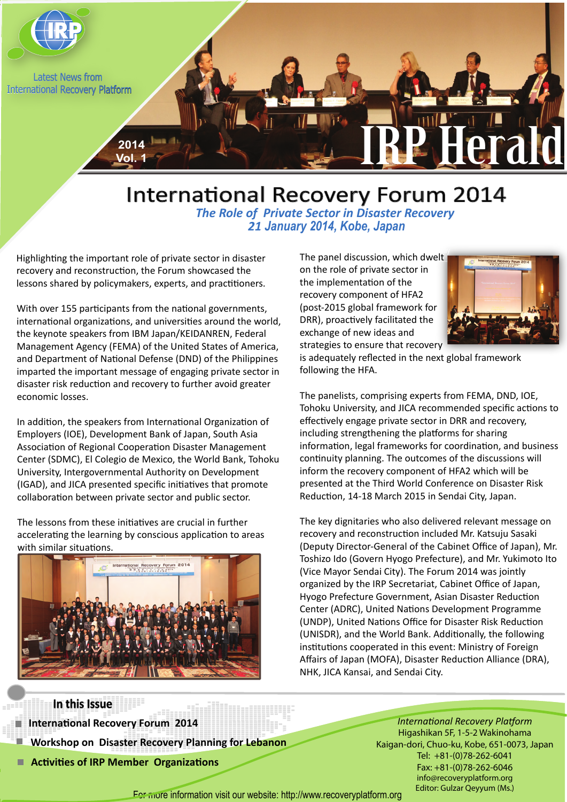

# International Recovery Forum 2014 *The Role of Private Sector in Disaster Recovery 21 January 2014, Kobe, Japan*

Highlighting the important role of private sector in disaster recovery and reconstruction, the Forum showcased the lessons shared by policymakers, experts, and practitioners.

With over 155 participants from the national governments, international organizations, and universities around the world, the keynote speakers from IBM Japan/KEIDANREN, Federal Management Agency (FEMA) of the United States of America, and Department of National Defense (DND) of the Philippines imparted the important message of engaging private sector in disaster risk reduction and recovery to further avoid greater economic losses.

In addition, the speakers from International Organization of Employers (IOE), Development Bank of Japan, South Asia Association of Regional Cooperation Disaster Management Center (SDMC), El Colegio de Mexico, the World Bank, Tohoku University, Intergovernmental Authority on Development (IGAD), and JICA presented specific initiatives that promote collaboration between private sector and public sector.

The lessons from these initiatives are crucial in further accelerating the learning by conscious application to areas with similar situations.



recovery component of HFA2 The panel discussion, which dwelt on the role of private sector in the implementation of the (post-2015 global framework for DRR), proactively facilitated the exchange of new ideas and strategies to ensure that recovery



is adequately reflected in the next global framework following the HFA.

The panelists, comprising experts from FEMA, DND, IOE, Tohoku University, and JICA recommended specific actions to effectively engage private sector in DRR and recovery, including strengthening the platforms for sharing information, legal frameworks for coordination, and business continuity planning. The outcomes of the discussions will inform the recovery component of HFA2 which will be presented at the Third World Conference on Disaster Risk Reduction, 14-18 March 2015 in Sendai City, Japan.

The key dignitaries who also delivered relevant message on recovery and reconstruction included Mr. Katsuju Sasaki (Deputy Director-General of the Cabinet Office of Japan), Mr. Toshizo Ido (Govern Hyogo Prefecture), and Mr. Yukimoto Ito (Vice Mayor Sendai City). The Forum 2014 was jointly organized by the IRP Secretariat, Cabinet Office of Japan, Hyogo Prefecture Government, Asian Disaster Reduction Center (ADRC), United Nations Development Programme (UNDP), United Nations Office for Disaster Risk Reduction (UNISDR), and the World Bank. Additionally, the following institutions cooperated in this event: Ministry of Foreign Affairs of Japan (MOFA), Disaster Reduction Alliance (DRA), NHK, JICA Kansai, and Sendai City.

**In this Issue**

a Ti

 **International Recovery Forum 2014**

 **Workshop on Disaster Recovery Planning for Lebanon**

■ Activities of IRP Member Organizations

*International Recovery Platform* Higashikan 5F, 1-5-2 Wakinohama Kaigan-dori, Chuo-ku, Kobe, 651-0073, Japan Tel: +81-(0)78-262-6041 Fax: +81-(0)78-262-6046 info@recoveryplatform.org Editor: Gulzar Qeyyum (Ms.)

For more information visit our website: http://www.recoveryplatform.org